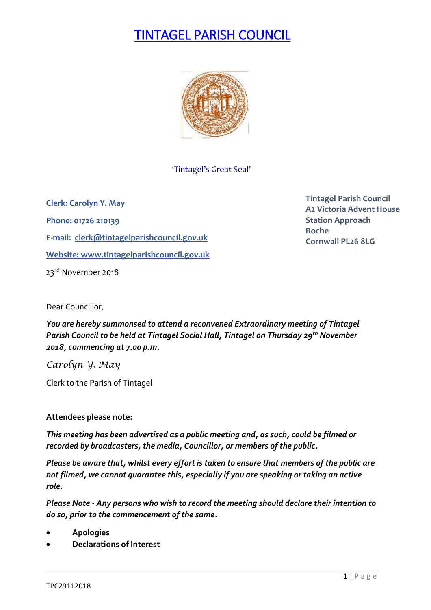# TINTAGEL PARISH COUNCIL



## 'Tintagel's Great Seal'

**Clerk: Carolyn Y. May Phone: 01726 210139 E-mail: [clerk@tintagelparishcouncil.gov.uk](mailto:clerk@tintagelparishcouncil.gov.uk) Website: [www.tintagelparishcouncil.gov.uk](http://www.tintagelparishcouncil.gov.uk/)** 23<sup>rd</sup> November 2018

**Tintagel Parish Council A2 Victoria Advent House Station Approach Roche Cornwall PL26 8LG**

Dear Councillor,

*You are hereby summonsed to attend a reconvened Extraordinary meeting of Tintagel Parish Council to be held at Tintagel Social Hall, Tintagel on Thursday 29th November 2018, commencing at 7.00 p.m.* 

*Carolyn Y. May*

Clerk to the Parish of Tintagel

### **Attendees please note:**

*This meeting has been advertised as a public meeting and, as such, could be filmed or recorded by broadcasters, the media, Councillor, or members of the public.*

*Please be aware that, whilst every effort is taken to ensure that members of the public are not filmed, we cannot guarantee this, especially if you are speaking or taking an active role.*

*Please Note - Any persons who wish to record the meeting should declare their intention to do so, prior to the commencement of the same.*

- **Apologies**
- **Declarations of Interest**